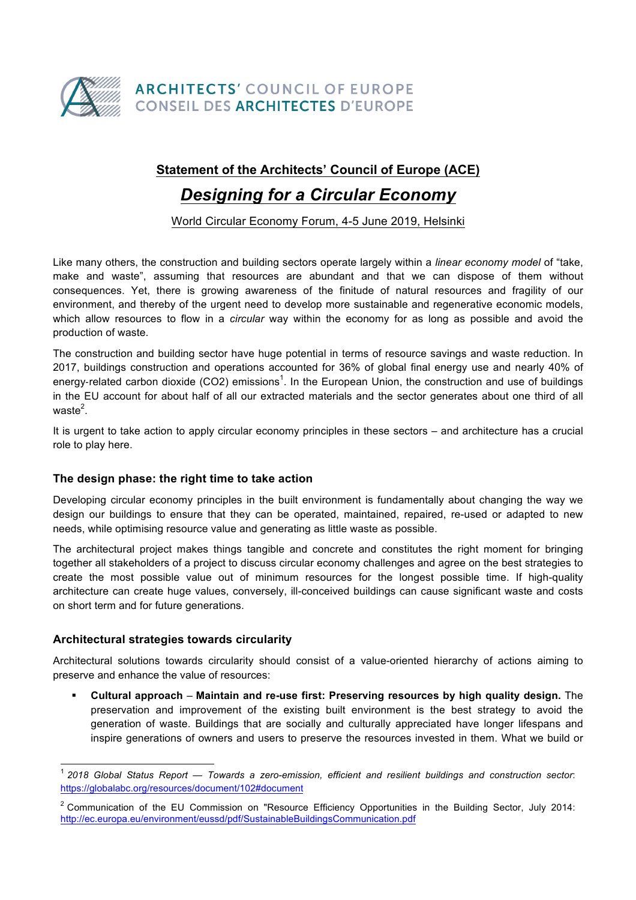

## **Statement of the Architects' Council of Europe (ACE)**

# *Designing for a Circular Economy*

World Circular Economy Forum, 4-5 June 2019, Helsinki

Like many others, the construction and building sectors operate largely within a *linear economy model* of "take, make and waste", assuming that resources are abundant and that we can dispose of them without consequences. Yet, there is growing awareness of the finitude of natural resources and fragility of our environment, and thereby of the urgent need to develop more sustainable and regenerative economic models, which allow resources to flow in a *circular* way within the economy for as long as possible and avoid the production of waste.

The construction and building sector have huge potential in terms of resource savings and waste reduction. In 2017, buildings construction and operations accounted for 36% of global final energy use and nearly 40% of energy-related carbon dioxide (CO2) emissions<sup>1</sup>. In the European Union, the construction and use of buildings in the EU account for about half of all our extracted materials and the sector generates about one third of all waste $^2$ .

It is urgent to take action to apply circular economy principles in these sectors – and architecture has a crucial role to play here.

### **The design phase: the right time to take action**

Developing circular economy principles in the built environment is fundamentally about changing the way we design our buildings to ensure that they can be operated, maintained, repaired, re-used or adapted to new needs, while optimising resource value and generating as little waste as possible.

The architectural project makes things tangible and concrete and constitutes the right moment for bringing together all stakeholders of a project to discuss circular economy challenges and agree on the best strategies to create the most possible value out of minimum resources for the longest possible time. If high-quality architecture can create huge values, conversely, ill-conceived buildings can cause significant waste and costs on short term and for future generations.

#### **Architectural strategies towards circularity**

Architectural solutions towards circularity should consist of a value-oriented hierarchy of actions aiming to preserve and enhance the value of resources:

§ **Cultural approach** – **Maintain and re-use first: Preserving resources by high quality design.** The preservation and improvement of the existing built environment is the best strategy to avoid the generation of waste. Buildings that are socially and culturally appreciated have longer lifespans and inspire generations of owners and users to preserve the resources invested in them. What we build or

 <sup>1</sup> *2018 Global Status Report — Towards a zero-emission, efficient and resilient buildings and construction sector*: https://globalabc.org/resources/document/102#document

<sup>&</sup>lt;sup>2</sup> Communication of the EU Commission on "Resource Efficiency Opportunities in the Building Sector, July 2014: http://ec.europa.eu/environment/eussd/pdf/SustainableBuildingsCommunication.pdf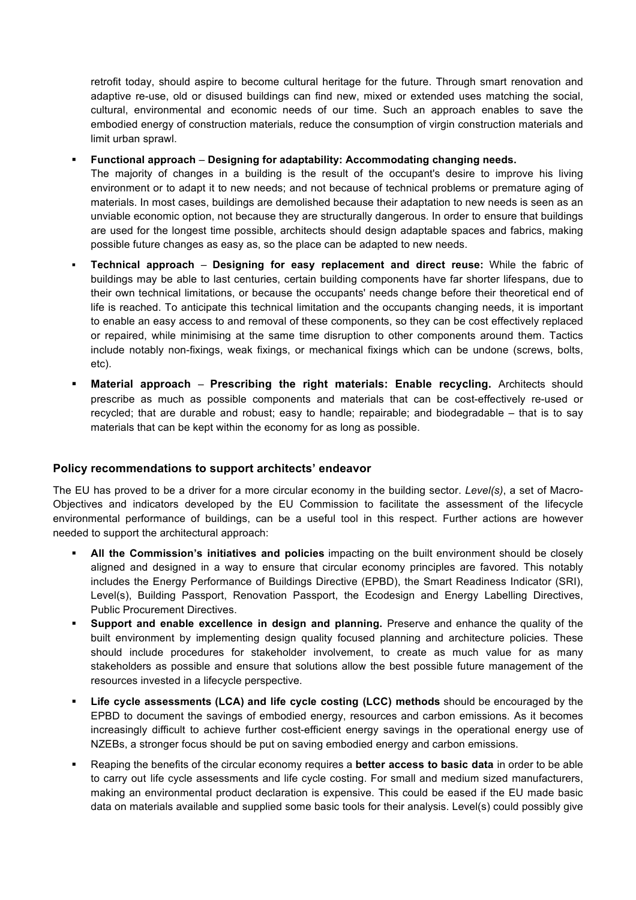retrofit today, should aspire to become cultural heritage for the future. Through smart renovation and adaptive re-use, old or disused buildings can find new, mixed or extended uses matching the social, cultural, environmental and economic needs of our time. Such an approach enables to save the embodied energy of construction materials, reduce the consumption of virgin construction materials and limit urban sprawl.

§ **Functional approach** – **Designing for adaptability: Accommodating changing needs.**

The majority of changes in a building is the result of the occupant's desire to improve his living environment or to adapt it to new needs; and not because of technical problems or premature aging of materials. In most cases, buildings are demolished because their adaptation to new needs is seen as an unviable economic option, not because they are structurally dangerous. In order to ensure that buildings are used for the longest time possible, architects should design adaptable spaces and fabrics, making possible future changes as easy as, so the place can be adapted to new needs.

- § **Technical approach Designing for easy replacement and direct reuse:** While the fabric of buildings may be able to last centuries, certain building components have far shorter lifespans, due to their own technical limitations, or because the occupants' needs change before their theoretical end of life is reached. To anticipate this technical limitation and the occupants changing needs, it is important to enable an easy access to and removal of these components, so they can be cost effectively replaced or repaired, while minimising at the same time disruption to other components around them. Tactics include notably non-fixings, weak fixings, or mechanical fixings which can be undone (screws, bolts, etc).
- § **Material approach Prescribing the right materials: Enable recycling.** Architects should prescribe as much as possible components and materials that can be cost-effectively re-used or recycled; that are durable and robust; easy to handle; repairable; and biodegradable – that is to say materials that can be kept within the economy for as long as possible.

### **Policy recommendations to support architects' endeavor**

The EU has proved to be a driver for a more circular economy in the building sector. *Level(s)*, a set of Macro-Objectives and indicators developed by the EU Commission to facilitate the assessment of the lifecycle environmental performance of buildings, can be a useful tool in this respect. Further actions are however needed to support the architectural approach:

- § **All the Commission's initiatives and policies** impacting on the built environment should be closely aligned and designed in a way to ensure that circular economy principles are favored. This notably includes the Energy Performance of Buildings Directive (EPBD), the Smart Readiness Indicator (SRI), Level(s), Building Passport, Renovation Passport, the Ecodesign and Energy Labelling Directives, Public Procurement Directives.
- § **Support and enable excellence in design and planning.** Preserve and enhance the quality of the built environment by implementing design quality focused planning and architecture policies. These should include procedures for stakeholder involvement, to create as much value for as many stakeholders as possible and ensure that solutions allow the best possible future management of the resources invested in a lifecycle perspective.
- § **Life cycle assessments (LCA) and life cycle costing (LCC) methods** should be encouraged by the EPBD to document the savings of embodied energy, resources and carbon emissions. As it becomes increasingly difficult to achieve further cost-efficient energy savings in the operational energy use of NZEBs, a stronger focus should be put on saving embodied energy and carbon emissions.
- § Reaping the benefits of the circular economy requires a **better access to basic data** in order to be able to carry out life cycle assessments and life cycle costing. For small and medium sized manufacturers, making an environmental product declaration is expensive. This could be eased if the EU made basic data on materials available and supplied some basic tools for their analysis. Level(s) could possibly give